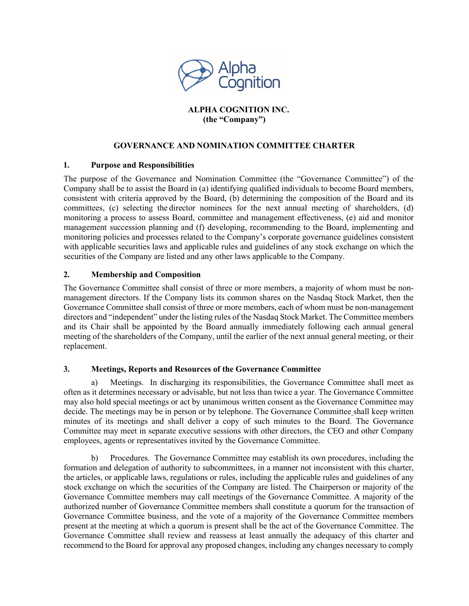

# **ALPHA COGNITION INC. (the "Company")**

## **GOVERNANCE AND NOMINATION COMMITTEE CHARTER**

### **1. Purpose and Responsibilities**

The purpose of the Governance and Nomination Committee (the "Governance Committee") of the Company shall be to assist the Board in (a) identifying qualified individuals to become Board members, consistent with criteria approved by the Board, (b) determining the composition of the Board and its committees, (c) selecting the director nominees for the next annual meeting of shareholders, (d) monitoring a process to assess Board, committee and management effectiveness, (e) aid and monitor management succession planning and (f) developing, recommending to the Board, implementing and monitoring policies and processes related to the Company's corporate governance guidelines consistent with applicable securities laws and applicable rules and guidelines of any stock exchange on which the securities of the Company are listed and any other laws applicable to the Company.

### **2. Membership and Composition**

The Governance Committee shall consist of three or more members, a majority of whom must be nonmanagement directors. If the Company lists its common shares on the Nasdaq Stock Market, then the Governance Committee shall consist of three or more members, each of whom must be non-management directors and "independent" under the listing rules of the Nasdaq Stock Market. The Committee members and its Chair shall be appointed by the Board annually immediately following each annual general meeting of the shareholders of the Company, until the earlier of the next annual general meeting, or their replacement.

### **3. Meetings, Reports and Resources of the Governance Committee**

a) Meetings. In discharging its responsibilities, the Governance Committee shall meet as often as it determines necessary or advisable, but not less than twice a year. The Governance Committee may also hold special meetings or act by unanimous written consent as the Governance Committee may decide. The meetings may be in person or by telephone. The Governance Committee shall keep written minutes of its meetings and shall deliver a copy of such minutes to the Board. The Governance Committee may meet in separate executive sessions with other directors, the CEO and other Company employees, agents or representatives invited by the Governance Committee.

b) Procedures. The Governance Committee may establish its own procedures, including the formation and delegation of authority to subcommittees, in a manner not inconsistent with this charter, the articles, or applicable laws, regulations or rules, including the applicable rules and guidelines of any stock exchange on which the securities of the Company are listed. The Chairperson or majority of the Governance Committee members may call meetings of the Governance Committee. A majority of the authorized number of Governance Committee members shall constitute a quorum for the transaction of Governance Committee business, and the vote of a majority of the Governance Committee members present at the meeting at which a quorum is present shall be the act of the Governance Committee. The Governance Committee shall review and reassess at least annually the adequacy of this charter and recommend to the Board for approval any proposed changes, including any changes necessary to comply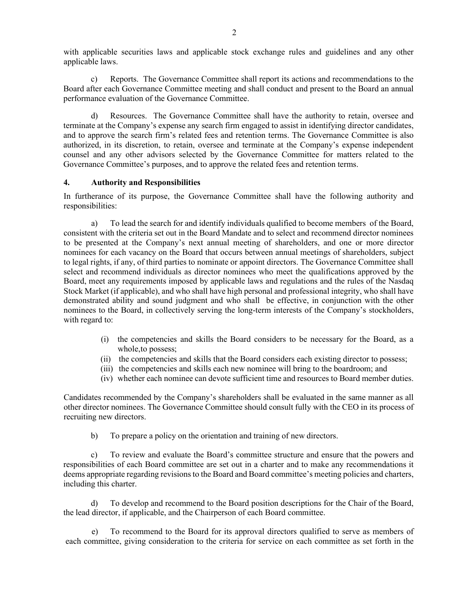with applicable securities laws and applicable stock exchange rules and guidelines and any other applicable laws.

c) Reports. The Governance Committee shall report its actions and recommendations to the Board after each Governance Committee meeting and shall conduct and present to the Board an annual performance evaluation of the Governance Committee.

d) Resources. The Governance Committee shall have the authority to retain, oversee and terminate at the Company's expense any search firm engaged to assist in identifying director candidates, and to approve the search firm's related fees and retention terms. The Governance Committee is also authorized, in its discretion, to retain, oversee and terminate at the Company's expense independent counsel and any other advisors selected by the Governance Committee for matters related to the Governance Committee's purposes, and to approve the related fees and retention terms.

### **4. Authority and Responsibilities**

In furtherance of its purpose, the Governance Committee shall have the following authority and responsibilities:

a) To lead the search for and identify individuals qualified to become members of the Board, consistent with the criteria set out in the Board Mandate and to select and recommend director nominees to be presented at the Company's next annual meeting of shareholders, and one or more director nominees for each vacancy on the Board that occurs between annual meetings of shareholders, subject to legal rights, if any, of third parties to nominate or appoint directors. The Governance Committee shall select and recommend individuals as director nominees who meet the qualifications approved by the Board, meet any requirements imposed by applicable laws and regulations and the rules of the Nasdaq Stock Market (if applicable), and who shall have high personal and professional integrity, who shall have demonstrated ability and sound judgment and who shall be effective, in conjunction with the other nominees to the Board, in collectively serving the long-term interests of the Company's stockholders, with regard to:

- (i) the competencies and skills the Board considers to be necessary for the Board, as a whole,to possess;
- (ii) the competencies and skills that the Board considers each existing director to possess;
- (iii) the competencies and skills each new nominee will bring to the boardroom; and
- (iv) whether each nominee can devote sufficient time and resources to Board member duties.

Candidates recommended by the Company's shareholders shall be evaluated in the same manner as all other director nominees. The Governance Committee should consult fully with the CEO in its process of recruiting new directors.

b) To prepare a policy on the orientation and training of new directors.

c) To review and evaluate the Board's committee structure and ensure that the powers and responsibilities of each Board committee are set out in a charter and to make any recommendations it deems appropriate regarding revisions to the Board and Board committee's meeting policies and charters, including this charter.

d) To develop and recommend to the Board position descriptions for the Chair of the Board, the lead director, if applicable, and the Chairperson of each Board committee.

e) To recommend to the Board for its approval directors qualified to serve as members of each committee, giving consideration to the criteria for service on each committee as set forth in the